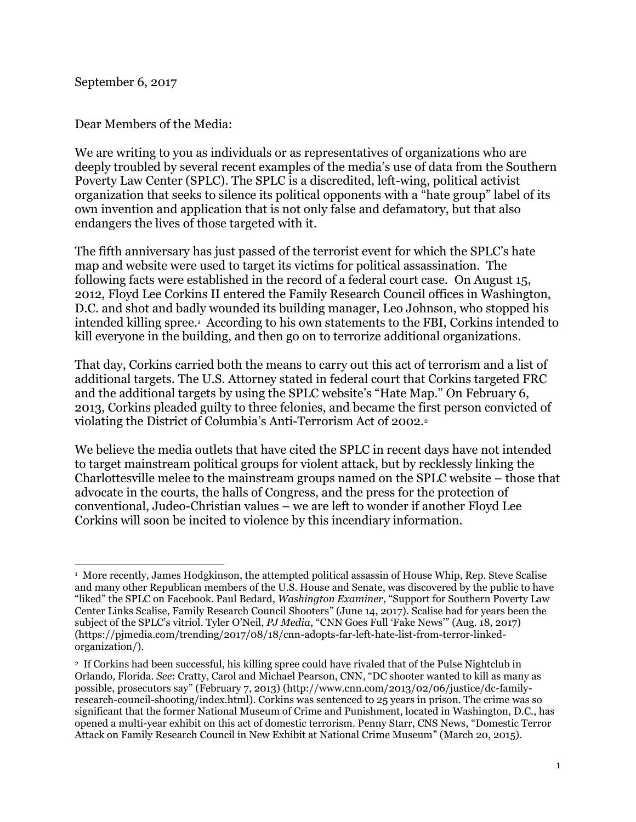September 6, 2017

Dear Members of the Media:

We are writing to you as individuals or as representatives of organizations who are deeply troubled by several recent examples of the media's use of data from the Southern Poverty Law Center (SPLC). The SPLC is a discredited, left-wing, political activist organization that seeks to silence its political opponents with a "hate group" label of its own invention and application that is not only false and defamatory, but that also endangers the lives of those targeted with it.

The fifth anniversary has just passed of the terrorist event for which the SPLC's hate map and website were used to target its victims for political assassination. The following facts were established in the record of a federal court case. On August 15, 2012, Floyd Lee Corkins II entered the Family Research Council offices in Washington, D.C. and shot and badly wounded its building manager, Leo Johnson, who stopped his intended killing spree.<sup>1</sup> According to his own statements to the FBI, Corkins intended to kill everyone in the building, and then go on to terrorize additional organizations.

That day, Corkins carried both the means to carry out this act of terrorism and a list of additional targets. The U.S. Attorney stated in federal court that Corkins targeted FRC and the additional targets by using the SPLC website's "Hate Map." On February 6, 2013, Corkins pleaded guilty to three felonies, and became the first person convicted of violating the District of Columbia's Anti-Terrorism Act of 2002.<sup>2</sup>

We believe the media outlets that have cited the SPLC in recent days have not intended to target mainstream political groups for violent attack, but by recklessly linking the Charlottesville melee to the mainstream groups named on the SPLC website – those that advocate in the courts, the halls of Congress, and the press for the protection of conventional, Judeo-Christian values – we are left to wonder if another Floyd Lee Corkins will soon be incited to violence by this incendiary information.

 $\overline{a}$ 1 More recently, James Hodgkinson, the attempted political assassin of House Whip, Rep. Steve Scalise and many other Republican members of the U.S. House and Senate, was discovered by the public to have "liked" the SPLC on Facebook. Paul Bedard, *Washington Examiner*, "Support for Southern Poverty Law Center Links Scalise, Family Research Council Shooters" (June 14, 2017). Scalise had for years been the subject of the SPLC's vitriol. Tyler O'Neil, *PJ Media*, "CNN Goes Full 'Fake News'" (Aug. 18, 2017) (https://pjmedia.com/trending/2017/08/18/cnn-adopts-far-left-hate-list-from-terror-linkedorganization/).

<sup>2</sup> If Corkins had been successful, his killing spree could have rivaled that of the Pulse Nightclub in Orlando, Florida. *See*: Cratty, Carol and Michael Pearson, CNN, "DC shooter wanted to kill as many as possible, prosecutors say" (February 7, 2013) (http://www.cnn.com/2013/02/06/justice/dc-familyresearch-council-shooting/index.html). Corkins was sentenced to 25 years in prison. The crime was so significant that the former National Museum of Crime and Punishment, located in Washington, D.C., has opened a multi-year exhibit on this act of domestic terrorism. Penny Starr, CNS News, "Domestic Terror Attack on Family Research Council in New Exhibit at National Crime Museum" (March 20, 2015).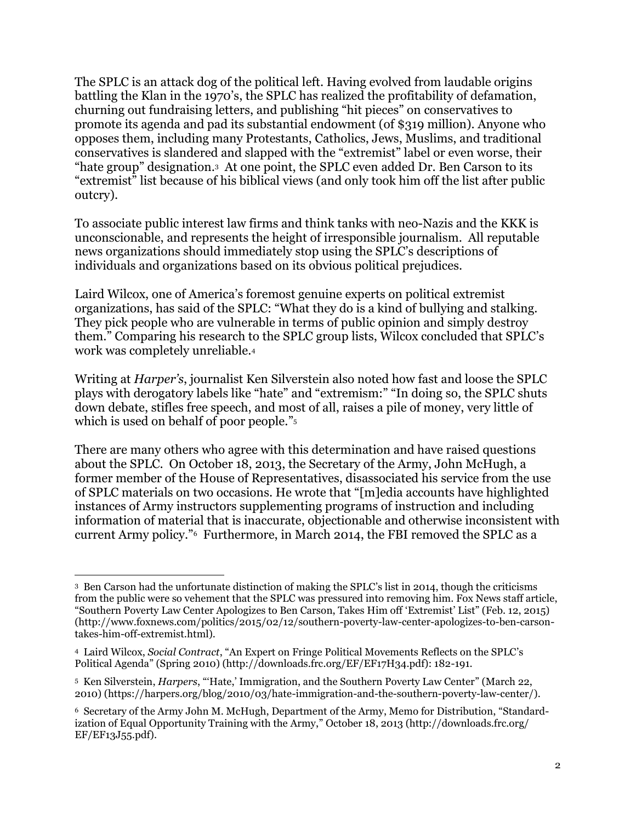The SPLC is an attack dog of the political left. Having evolved from laudable origins battling the Klan in the 1970's, the SPLC has realized the profitability of defamation, churning out fundraising letters, and publishing "hit pieces" on conservatives to promote its agenda and pad its substantial endowment (of \$319 million). Anyone who opposes them, including many Protestants, Catholics, Jews, Muslims, and traditional conservatives is slandered and slapped with the "extremist" label or even worse, their "hate group" designation.3 At one point, the SPLC even added Dr. Ben Carson to its "extremist" list because of his biblical views (and only took him off the list after public outcry).

To associate public interest law firms and think tanks with neo-Nazis and the KKK is unconscionable, and represents the height of irresponsible journalism. All reputable news organizations should immediately stop using the SPLC's descriptions of individuals and organizations based on its obvious political prejudices.

Laird Wilcox, one of America's foremost genuine experts on political extremist organizations, has said of the SPLC: "What they do is a kind of bullying and stalking. They pick people who are vulnerable in terms of public opinion and simply destroy them." Comparing his research to the SPLC group lists, Wilcox concluded that SPLC's work was completely unreliable.<sup>4</sup>

Writing at *Harper's*, journalist Ken Silverstein also noted how fast and loose the SPLC plays with derogatory labels like "hate" and "extremism:" "In doing so, the SPLC shuts down debate, stifles free speech, and most of all, raises a pile of money, very little of which is used on behalf of poor people." 5

There are many others who agree with this determination and have raised questions about the SPLC. On October 18, 2013, the Secretary of the Army, John McHugh, a former member of the House of Representatives, disassociated his service from the use of SPLC materials on two occasions. He wrote that "[m]edia accounts have highlighted instances of Army instructors supplementing programs of instruction and including information of material that is inaccurate, objectionable and otherwise inconsistent with current Army policy." <sup>6</sup> Furthermore, in March 2014, the FBI removed the SPLC as a

 $\overline{\phantom{a}}$ <sup>3</sup> Ben Carson had the unfortunate distinction of making the SPLC's list in 2014, though the criticisms from the public were so vehement that the SPLC was pressured into removing him. Fox News staff article, "Southern Poverty Law Center Apologizes to Ben Carson, Takes Him off 'Extremist' List" (Feb. 12, 2015) (http://www.foxnews.com/politics/2015/02/12/southern-poverty-law-center-apologizes-to-ben-carsontakes-him-off-extremist.html).

<sup>4</sup> Laird Wilcox, *Social Contract*, "An Expert on Fringe Political Movements Reflects on the SPLC's Political Agenda" (Spring 2010) (http://downloads.frc.org/EF/EF17H34.pdf): 182-191.

<sup>5</sup> Ken Silverstein, *Harpers*, "'Hate,' Immigration, and the Southern Poverty Law Center" (March 22, 2010) (https://harpers.org/blog/2010/03/hate-immigration-and-the-southern-poverty-law-center/).

<sup>6</sup> Secretary of the Army John M. McHugh, Department of the Army, Memo for Distribution, "Standardization of Equal Opportunity Training with the Army," October 18, 2013 (http://downloads.frc.org/ EF/EF13J55.pdf).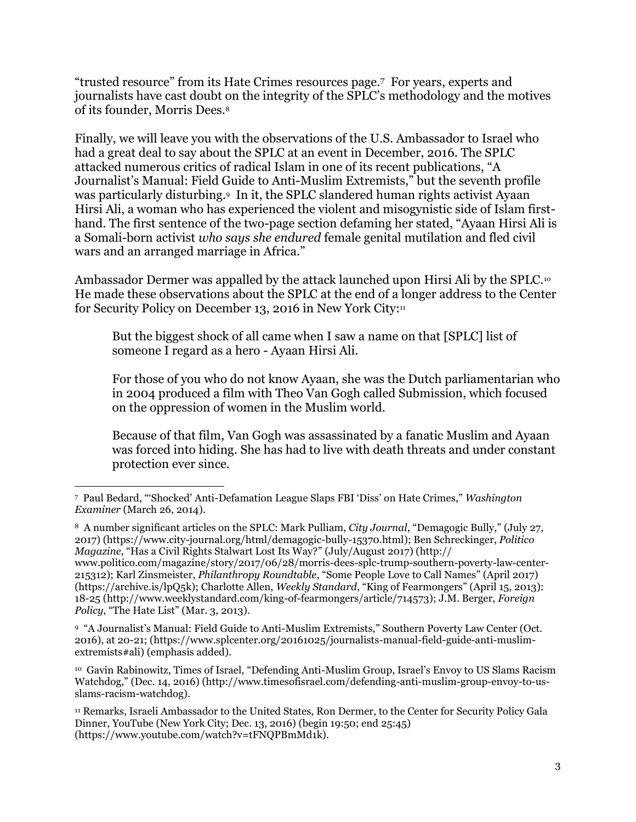"trusted resource" from its Hate Crimes resources page.7 For years, experts and journalists have cast doubt on the integrity of the SPLC's methodology and the motives of its founder, Morris Dees.<sup>8</sup>

Finally, we will leave you with the observations of the U.S. Ambassador to Israel who had a great deal to say about the SPLC at an event in December, 2016. The SPLC attacked numerous critics of radical Islam in one of its recent publications, "A Journalist's Manual: Field Guide to Anti-Muslim Extremists," but the seventh profile was particularly disturbing.<sup>9</sup> In it, the SPLC slandered human rights activist Ayaan Hirsi Ali, a woman who has experienced the violent and misogynistic side of Islam firsthand. The first sentence of the two-page section defaming her stated, "Ayaan Hirsi Ali is a Somali-born activist *who says she endured* female genital mutilation and fled civil wars and an arranged marriage in Africa."

Ambassador Dermer was appalled by the attack launched upon Hirsi Ali by the SPLC.<sup>10</sup> He made these observations about the SPLC at the end of a longer address to the Center for Security Policy on December 13, 2016 in New York City:<sup>11</sup>

But the biggest shock of all came when I saw a name on that [SPLC] list of someone I regard as a hero - Ayaan Hirsi Ali.

For those of you who do not know Ayaan, she was the Dutch parliamentarian who in 2004 produced a film with Theo Van Gogh called Submission, which focused on the oppression of women in the Muslim world.

Because of that film, Van Gogh was assassinated by a fanatic Muslim and Ayaan was forced into hiding. She has had to live with death threats and under constant protection ever since.

 $\overline{\phantom{a}}$ 7 Paul Bedard, "'Shocked' Anti-Defamation League Slaps FBI 'Diss' on Hate Crimes," *Washington Examiner* (March 26, 2014).

<sup>8</sup> A number significant articles on the SPLC: Mark Pulliam, *City Journal*, "Demagogic Bully," (July 27, 2017) (https://www.city-journal.org/html/demagogic-bully-15370.html); Ben Schreckinger, *Politico Magazine*, "Has a Civil Rights Stalwart Lost Its Way?" (July/August 2017) (http://

www.politico.com/magazine/story/2017/06/28/morris-dees-splc-trump-southern-poverty-law-center-215312); Karl Zinsmeister, *Philanthropy Roundtable*, "Some People Love to Call Names" (April 2017) (https://archive.is/lpQ5k); Charlotte Allen, *Weekly Standard*, "King of Fearmongers" (April 15, 2013): 18-25 (http://www.weeklystandard.com/king-of-fearmongers/article/714573); J.M. Berger, *Foreign Policy*, "The Hate List" (Mar. 3, 2013).

<sup>9</sup> "A Journalist's Manual: Field Guide to Anti-Muslim Extremists," Southern Poverty Law Center (Oct. 2016), at 20-21; (https://www.splcenter.org/20161025/journalists-manual-field-guide-anti-muslimextremists#ali) (emphasis added).

<sup>10</sup> Gavin Rabinowitz, Times of Israel, "Defending Anti-Muslim Group, Israel's Envoy to US Slams Racism Watchdog," (Dec. 14, 2016) (http://www.timesofisrael.com/defending-anti-muslim-group-envoy-to-usslams-racism-watchdog).

<sup>11</sup> Remarks, Israeli Ambassador to the United States, Ron Dermer, to the Center for Security Policy Gala Dinner, YouTube (New York City; Dec. 13, 2016) (begin 19:50; end 25:45) (https://www.youtube.com/watch?v=tFNQPBmMd1k).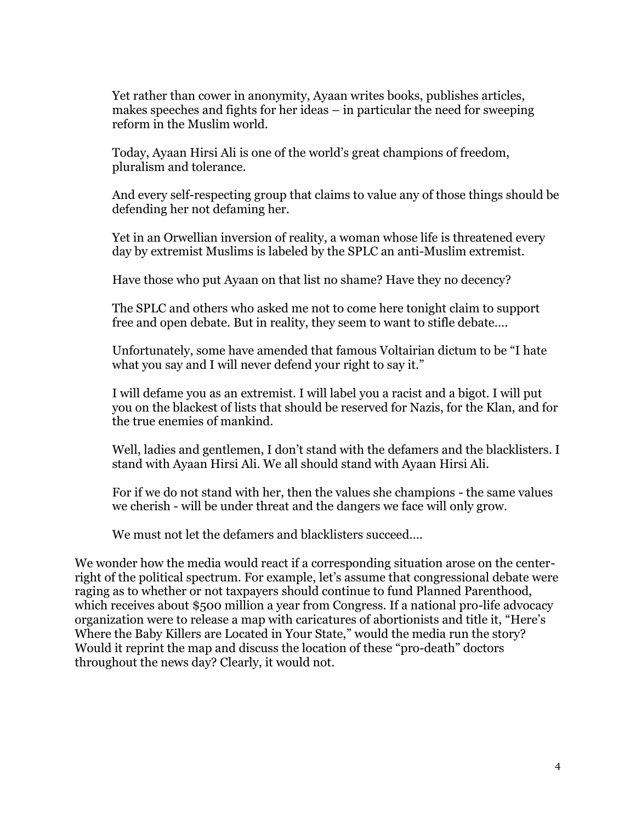Yet rather than cower in anonymity, Ayaan writes books, publishes articles, makes speeches and fights for her ideas – in particular the need for sweeping reform in the Muslim world.

Today, Ayaan Hirsi Ali is one of the world's great champions of freedom, pluralism and tolerance.

And every self-respecting group that claims to value any of those things should be defending her not defaming her.

Yet in an Orwellian inversion of reality, a woman whose life is threatened every day by extremist Muslims is labeled by the SPLC an anti-Muslim extremist.

Have those who put Ayaan on that list no shame? Have they no decency?

The SPLC and others who asked me not to come here tonight claim to support free and open debate. But in reality, they seem to want to stifle debate….

Unfortunately, some have amended that famous Voltairian dictum to be "I hate what you say and I will never defend your right to say it."

I will defame you as an extremist. I will label you a racist and a bigot. I will put you on the blackest of lists that should be reserved for Nazis, for the Klan, and for the true enemies of mankind.

Well, ladies and gentlemen, I don't stand with the defamers and the blacklisters. I stand with Ayaan Hirsi Ali. We all should stand with Ayaan Hirsi Ali.

For if we do not stand with her, then the values she champions - the same values we cherish - will be under threat and the dangers we face will only grow.

We must not let the defamers and blacklisters succeed....

We wonder how the media would react if a corresponding situation arose on the centerright of the political spectrum. For example, let's assume that congressional debate were raging as to whether or not taxpayers should continue to fund Planned Parenthood, which receives about \$500 million a year from Congress. If a national pro-life advocacy organization were to release a map with caricatures of abortionists and title it, "Here's Where the Baby Killers are Located in Your State," would the media run the story? Would it reprint the map and discuss the location of these "pro-death" doctors throughout the news day? Clearly, it would not.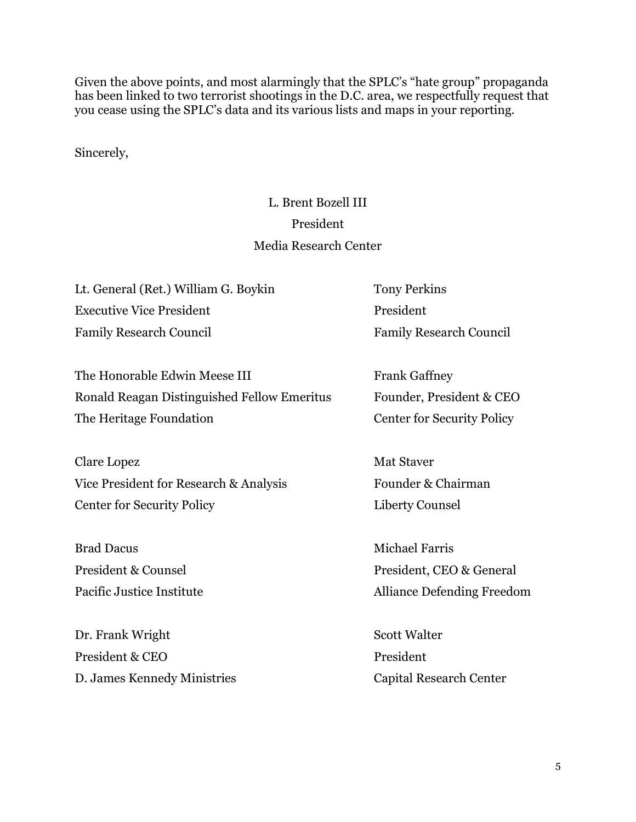Given the above points, and most alarmingly that the SPLC's "hate group" propaganda has been linked to two terrorist shootings in the D.C. area, we respectfully request that you cease using the SPLC's data and its various lists and maps in your reporting.

Sincerely,

## L. Brent Bozell III President Media Research Center

Lt. General (Ret.) William G. Boykin Tony Perkins Executive Vice President **President** Family Research Council Family Research Council

The Honorable Edwin Meese III Frank Gaffney Ronald Reagan Distinguished Fellow Emeritus Founder, President & CEO The Heritage Foundation Center for Security Policy

Clare Lopez Mat Staver Vice President for Research & Analysis Founder & Chairman Center for Security Policy Liberty Counsel

Brad Dacus Michael Farris

Dr. Frank Wright Scott Walter President & CEO President D. James Kennedy Ministries Capital Research Center

President & Counsel President, CEO & General Pacific Justice Institute **Alliance Defending Freedom**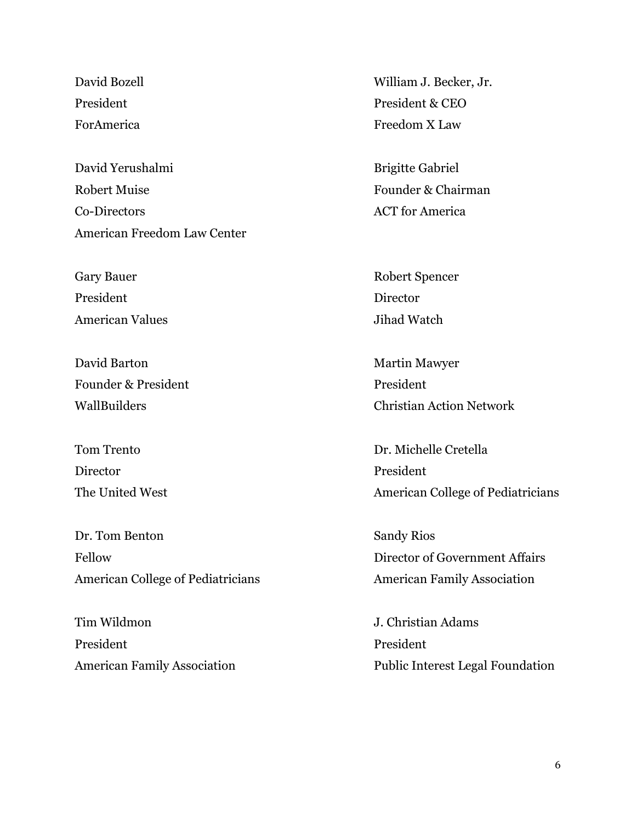David Yerushalmi Brigitte Gabriel Robert Muise **Founder & Chairman** Co-Directors ACT for America American Freedom Law Center

President Director American Values and Tihad Watch

David Barton Martin Mawyer Founder & President President

Director President

Dr. Tom Benton Sandy Rios Fellow Director of Government Affairs American College of Pediatricians **American Family Association** 

Tim Wildmon J. Christian Adams President President

David Bozell William J. Becker, Jr. President President & CEO ForAmerica Freedom X Law

Gary Bauer Robert Spencer

WallBuilders Christian Action Network

Tom Trento **Dr. Michelle Cretella** The United West American College of Pediatricians

American Family Association **Public Interest Legal Foundation**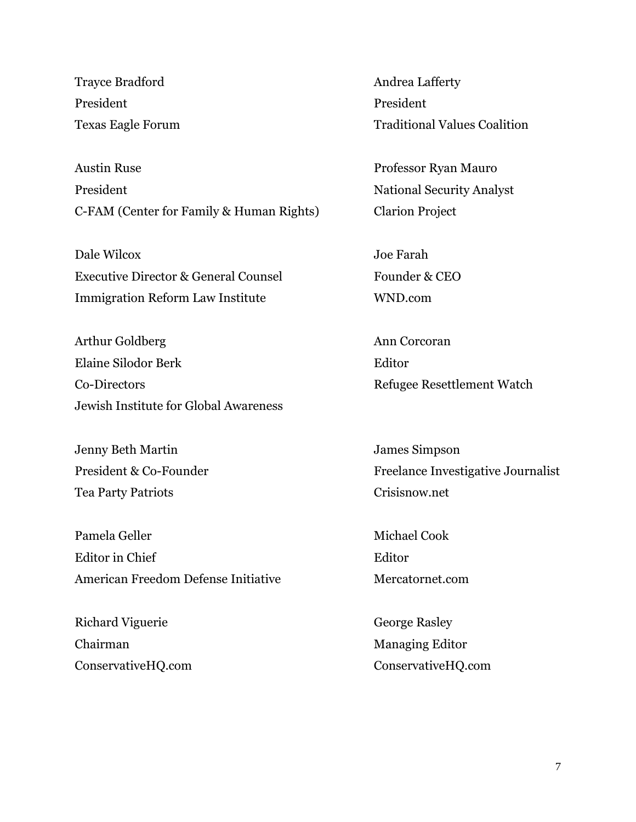Trayce Bradford **Andrea Lafferty** President President

Austin Ruse Professor Ryan Mauro President National Security Analyst C-FAM (Center for Family & Human Rights) Clarion Project

Dale Wilcox Joe Farah Executive Director & General Counsel Founder & CEO Immigration Reform Law Institute WND.com

Arthur Goldberg **Ann** Corcoran Elaine Silodor Berk Editor Co-Directors Refugee Resettlement Watch Jewish Institute for Global Awareness

Jenny Beth Martin James Simpson Tea Party Patriots Crisisnow.net

Pamela Geller Michael Cook Editor in Chief **Editor** Editor American Freedom Defense Initiative Mercatornet.com

Richard Viguerie George Rasley Chairman Managing Editor

Texas Eagle Forum Traditional Values Coalition

President & Co-Founder Freelance Investigative Journalist

ConservativeHQ.com ConservativeHQ.com